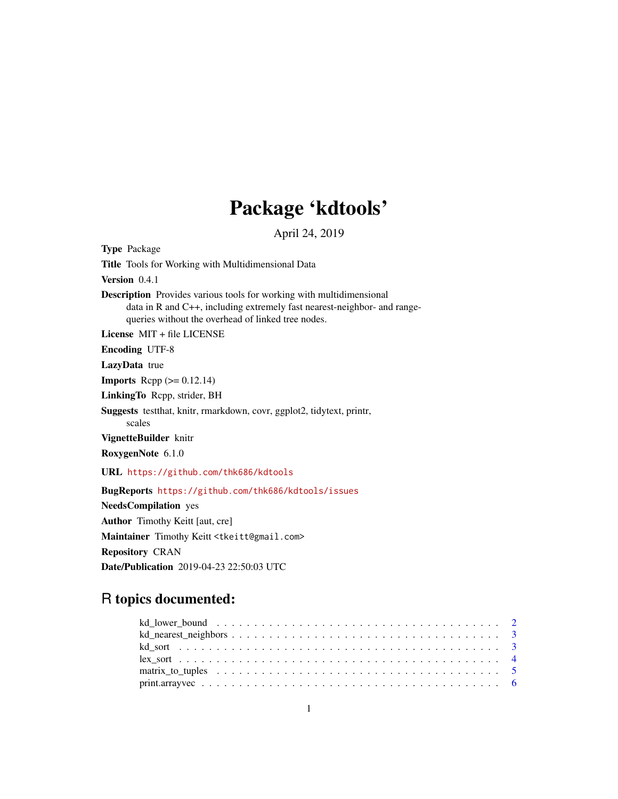## Package 'kdtools'

April 24, 2019

<span id="page-0-0"></span>Type Package Title Tools for Working with Multidimensional Data Version 0.4.1 Description Provides various tools for working with multidimensional data in R and C++, including extremely fast nearest-neighbor- and rangequeries without the overhead of linked tree nodes. License MIT + file LICENSE Encoding UTF-8 LazyData true **Imports** Rcpp  $(>= 0.12.14)$ LinkingTo Rcpp, strider, BH Suggests testthat, knitr, rmarkdown, covr, ggplot2, tidytext, printr, scales VignetteBuilder knitr RoxygenNote 6.1.0 URL <https://github.com/thk686/kdtools> BugReports <https://github.com/thk686/kdtools/issues> NeedsCompilation yes Author Timothy Keitt [aut, cre] Maintainer Timothy Keitt <tkeitt@gmail.com> Repository CRAN Date/Publication 2019-04-23 22:50:03 UTC

### R topics documented: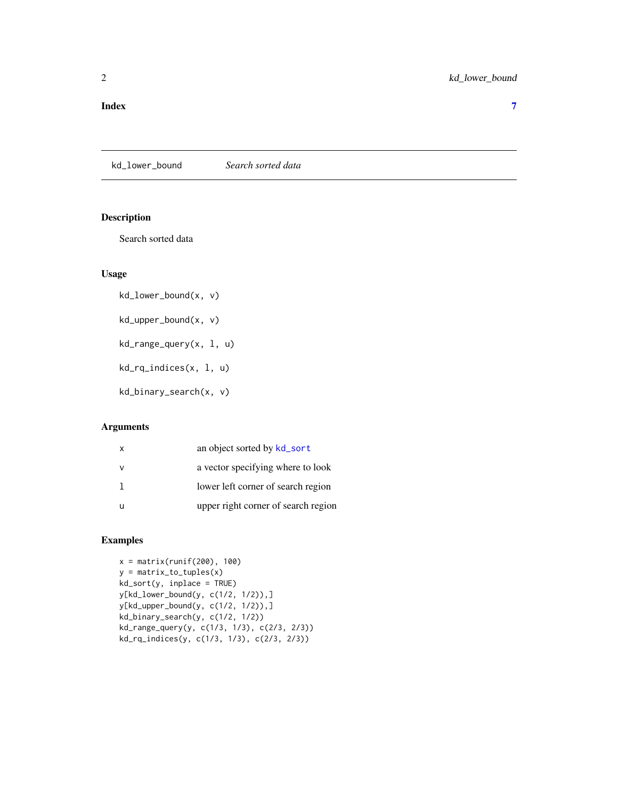<span id="page-1-0"></span>kd\_lower\_bound *Search sorted data*

#### Description

Search sorted data

#### Usage

kd\_lower\_bound(x, v)

kd\_upper\_bound(x, v)

kd\_range\_query(x, l, u)

kd\_rq\_indices(x, l, u)

kd\_binary\_search(x, v)

#### Arguments

| $\mathsf{x}$ | an object sorted by kd_sort         |
|--------------|-------------------------------------|
| v            | a vector specifying where to look   |
|              | lower left corner of search region  |
|              | upper right corner of search region |

#### Examples

```
x = matrix(runit(200), 100)y = matrix_to_tuples(x)kd_sort(y, inplace = TRUE)
y[kd_lower_bound(y, c(1/2, 1/2)),]
y[kd_upper_bound(y, c(1/2, 1/2)),]
kd_binary_search(y, c(1/2, 1/2))
kd_range_query(y, c(1/3, 1/3), c(2/3, 2/3))
kd_rq_indices(y, c(1/3, 1/3), c(2/3, 2/3))
```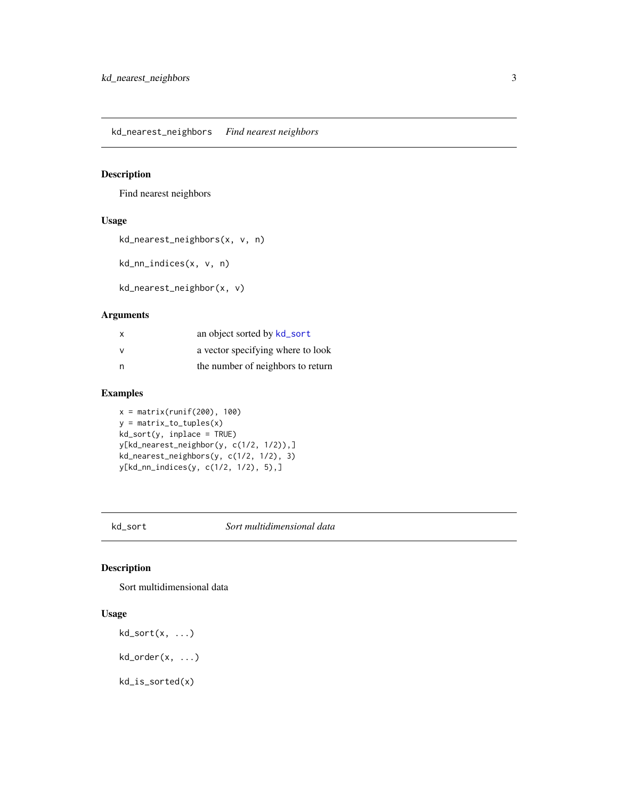<span id="page-2-0"></span>kd\_nearest\_neighbors *Find nearest neighbors*

#### Description

Find nearest neighbors

#### Usage

```
kd_nearest_neighbors(x, v, n)
```
kd\_nn\_indices(x, v, n)

kd\_nearest\_neighbor(x, v)

#### Arguments

| X   | an object sorted by kd_sort       |
|-----|-----------------------------------|
|     | a vector specifying where to look |
| - n | the number of neighbors to return |

#### Examples

 $x = matrix(runif(200), 100)$ y = matrix\_to\_tuples(x)  $kd\_sort(y, inplace = TRUE)$ y[kd\_nearest\_neighbor(y, c(1/2, 1/2)),] kd\_nearest\_neighbors(y, c(1/2, 1/2), 3) y[kd\_nn\_indices(y, c(1/2, 1/2), 5),]

<span id="page-2-1"></span>kd\_sort *Sort multidimensional data*

#### Description

Sort multidimensional data

#### Usage

 $kd\_sort(x, \ldots)$  $kd\_order(x, \ldots)$ 

kd\_is\_sorted(x)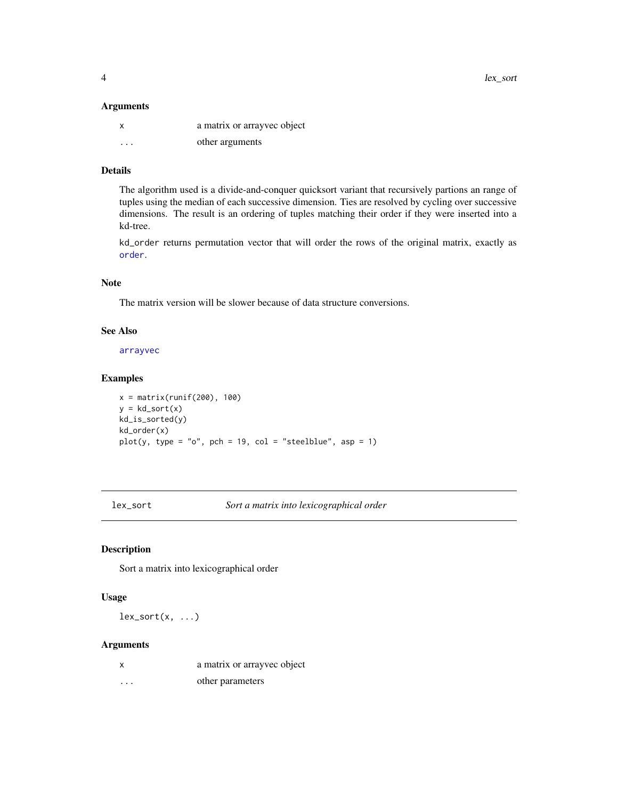<span id="page-3-0"></span>4 lex\_sort

#### Arguments

| X       | a matrix or arrayvec object |
|---------|-----------------------------|
| $\cdot$ | other arguments             |

#### Details

The algorithm used is a divide-and-conquer quicksort variant that recursively partions an range of tuples using the median of each successive dimension. Ties are resolved by cycling over successive dimensions. The result is an ordering of tuples matching their order if they were inserted into a kd-tree.

kd\_order returns permutation vector that will order the rows of the original matrix, exactly as [order](#page-0-0).

#### Note

The matrix version will be slower because of data structure conversions.

#### See Also

[arrayvec](#page-5-1)

#### Examples

 $x = matrix(runif(200), 100)$  $y = kd\_sort(x)$ kd\_is\_sorted(y) kd\_order(x) plot(y, type = "o", pch = 19, col = "steelblue", asp = 1)

lex\_sort *Sort a matrix into lexicographical order*

#### Description

Sort a matrix into lexicographical order

#### Usage

 $lex\_sort(x, ...)$ 

#### Arguments

| X       | a matrix or arrayvec object |
|---------|-----------------------------|
| $\cdot$ | other parameters            |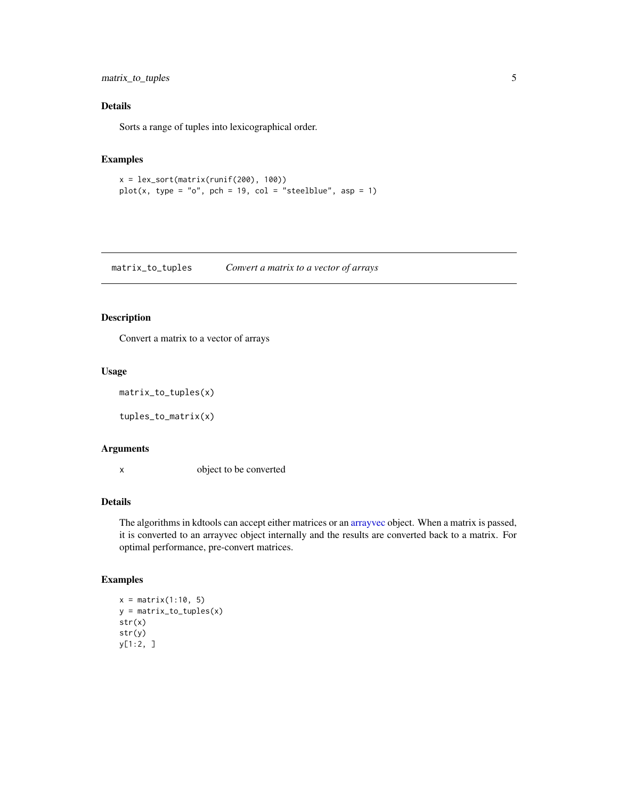#### <span id="page-4-0"></span>matrix\_to\_tuples 5

#### Details

Sorts a range of tuples into lexicographical order.

#### Examples

 $x = lex\_sort(maxrix(runif(200), 100))$  $plot(x, type = "o", pch = 19, col = "steelblue", asp = 1)$ 

matrix\_to\_tuples *Convert a matrix to a vector of arrays*

#### Description

Convert a matrix to a vector of arrays

#### Usage

```
matrix_to_tuples(x)
```
tuples\_to\_matrix(x)

#### Arguments

x object to be converted

#### Details

The algorithms in kdtools can accept either matrices or an [arrayvec](#page-5-1) object. When a matrix is passed, it is converted to an arrayvec object internally and the results are converted back to a matrix. For optimal performance, pre-convert matrices.

#### Examples

```
x = matrix(1:10, 5)y = matrix_to_tuples(x)
str(x)
str(y)
y[1:2, ]
```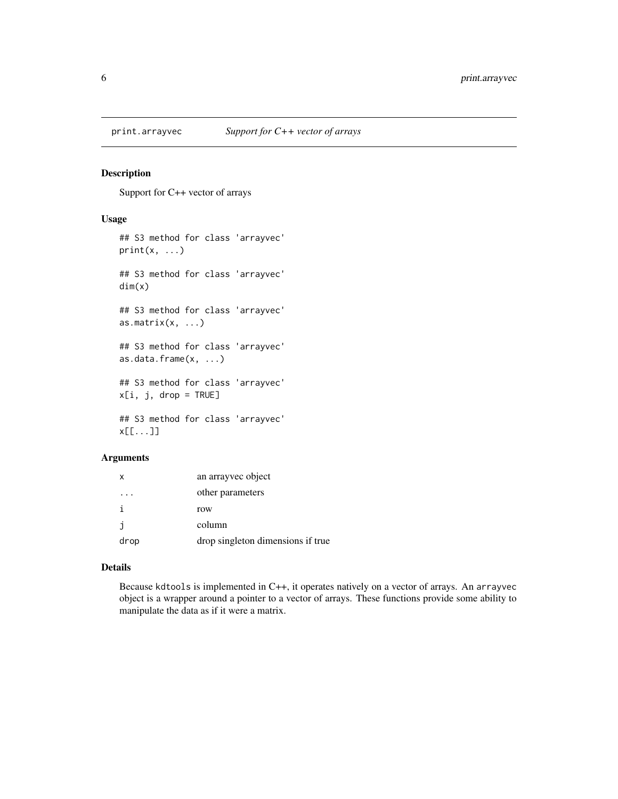<span id="page-5-0"></span>

#### <span id="page-5-1"></span>Description

Support for C++ vector of arrays

#### Usage

```
## S3 method for class 'arrayvec'
print(x, \ldots)## S3 method for class 'arrayvec'
dim(x)
## S3 method for class 'arrayvec'
as.matrix(x, \ldots)## S3 method for class 'arrayvec'
as.data.frame(x, ...)
## S3 method for class 'arrayvec'
x[i, j, drop = TRUE]
## S3 method for class 'arrayvec'
x[[...]]
```
#### Arguments

| x    | an array vec object               |
|------|-----------------------------------|
|      | other parameters                  |
| ÷    | row                               |
| j.   | column                            |
| drop | drop singleton dimensions if true |

#### Details

Because kdtools is implemented in C++, it operates natively on a vector of arrays. An arrayvec object is a wrapper around a pointer to a vector of arrays. These functions provide some ability to manipulate the data as if it were a matrix.